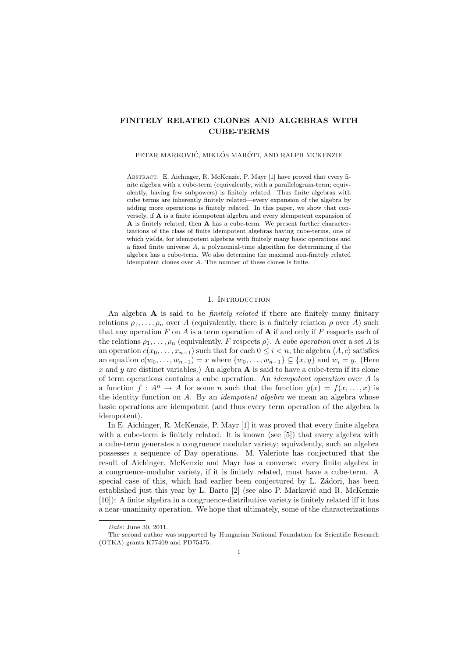# FINITELY RELATED CLONES AND ALGEBRAS WITH CUBE-TERMS

### PETAR MARKOVIĆ, MIKLÓS MARÓTI, AND RALPH MCKENZIE

Abstract. E. Aichinger, R. McKenzie, P. Mayr [1] have proved that every finite algebra with a cube-term (equivalently, with a parallelogram-term; equivalently, having few subpowers) is finitely related. Thus finite algebras with cube terms are inherently finitely related—every expansion of the algebra by adding more operations is finitely related. In this paper, we show that conversely, if A is a finite idempotent algebra and every idempotent expansion of A is finitely related, then A has a cube-term. We present further characterizations of the class of finite idempotent algebras having cube-terms, one of which yields, for idempotent algebras with finitely many basic operations and a fixed finite universe A, a polynomial-time algorithm for determining if the algebra has a cube-term. We also determine the maximal non-finitely related idempotent clones over A. The number of these clones is finite.

## 1. INTRODUCTION

An algebra  $\bf{A}$  is said to be *finitely related* if there are finitely many finitary relations  $\rho_1, \ldots, \rho_n$  over A (equivalently, there is a finitely relation  $\rho$  over A) such that any operation  $F$  on  $A$  is a term operation of  $A$  if and only if  $F$  respects each of the relations  $\rho_1, \ldots, \rho_n$  (equivalently, F respects  $\rho$ ). A cube operation over a set A is an operation  $c(x_0, \ldots, x_{n-1})$  such that for each  $0 \leq i < n$ , the algebra  $\langle A, c \rangle$  satisfies an equation  $c(w_0, \ldots, w_{n-1}) = x$  where  $\{w_0, \ldots, w_{n-1}\} \subseteq \{x, y\}$  and  $w_i = y$ . (Here x and y are distinct variables.) An algebra  $\bf{A}$  is said to have a cube-term if its clone of term operations contains a cube operation. An idempotent operation over A is a function  $f: A^n \to A$  for some n such that the function  $g(x) = f(x, \ldots, x)$  is the identity function on A. By an idempotent algebra we mean an algebra whose basic operations are idempotent (and thus every term operation of the algebra is idempotent).

In E. Aichinger, R. McKenzie, P. Mayr [1] it was proved that every finite algebra with a cube-term is finitely related. It is known (see [5]) that every algebra with a cube-term generates a congruence modular variety; equivalently, such an algebra possesses a sequence of Day operations. M. Valeriote has conjectured that the result of Aichinger, McKenzie and Mayr has a converse: every finite algebra in a congruence-modular variety, if it is finitely related, must have a cube-term. A special case of this, which had earlier been conjectured by L. Zádori, has been established just this year by L. Barto  $[2]$  (see also P. Marković and R. McKenzie [10]): A finite algebra in a congruence-distributive variety is finitely related iff it has a near-unanimity operation. We hope that ultimately, some of the characterizations

Date: June 30, 2011.

The second author was supported by Hungarian National Foundation for Scientific Research (OTKA) grants K77409 and PD75475.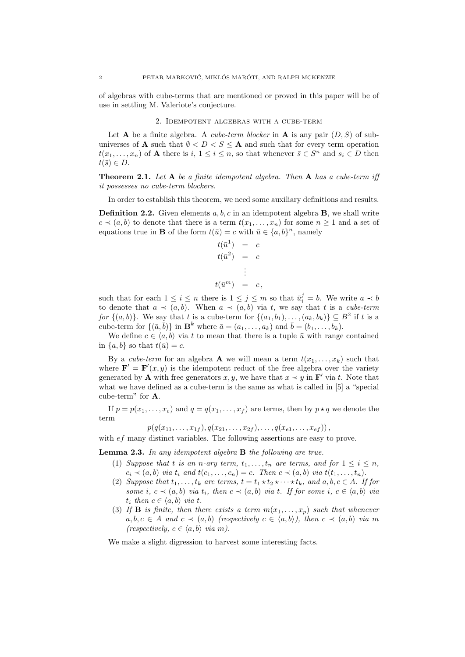of algebras with cube-terms that are mentioned or proved in this paper will be of use in settling M. Valeriote's conjecture.

### 2. Idempotent algebras with a cube-term

Let **A** be a finite algebra. A cube-term blocker in **A** is any pair  $(D, S)$  of subuniverses of **A** such that  $\emptyset < D < S \leq$  **A** and such that for every term operation  $t(x_1,...,x_n)$  of **A** there is  $i, 1 \leq i \leq n$ , so that whenever  $\bar{s} \in S^n$  and  $s_i \in D$  then  $t(\bar{s}) \in D$ .

**Theorem 2.1.** Let  $A$  be a finite idempotent algebra. Then  $A$  has a cube-term iff it possesses no cube-term blockers.

In order to establish this theorem, we need some auxiliary definitions and results.

**Definition 2.2.** Given elements  $a, b, c$  in an idempotent algebra  $\bf{B}$ , we shall write  $c \prec (a, b)$  to denote that there is a term  $t(x_1, \ldots, x_n)$  for some  $n \geq 1$  and a set of equations true in **B** of the form  $t(\bar{u}) = c$  with  $\bar{u} \in \{a, b\}^n$ , namely

$$
t(\bar{u}^{1}) = c
$$
  
\n
$$
t(\bar{u}^{2}) = c
$$
  
\n
$$
\vdots
$$
  
\n
$$
t(\bar{u}^{m}) = c,
$$

such that for each  $1 \leq i \leq n$  there is  $1 \leq j \leq m$  so that  $\bar{u}_i^j = b$ . We write  $a \prec b$ to denote that  $a \prec (a, b)$ . When  $a \prec (a, b)$  via t, we say that t is a cube-term for  $\{(a, b)\}\$ . We say that t is a cube-term for  $\{(a_1, b_1), \ldots, (a_k, b_k)\}\subseteq B^2$  if t is a cube-term for  $\{(\bar{a}, \bar{b})\}$  in  $\mathbf{B}^k$  where  $\bar{a} = (a_1, \ldots, a_k)$  and  $\bar{b} = (b_1, \ldots, b_k)$ .

We define  $c \in \langle a, b \rangle$  via t to mean that there is a tuple  $\bar{u}$  with range contained in  $\{a, b\}$  so that  $t(\bar{u}) = c$ .

By a cube-term for an algebra **A** we will mean a term  $t(x_1, \ldots, x_k)$  such that where  $\mathbf{F}' = \mathbf{F}'(x, y)$  is the idempotent reduct of the free algebra over the variety generated by **A** with free generators  $x, y$ , we have that  $x \prec y$  in **F**' via t. Note that what we have defined as a cube-term is the same as what is called in [5] a "special cube-term" for A.

If  $p = p(x_1, \ldots, x_e)$  and  $q = q(x_1, \ldots, x_f)$  are terms, then by  $p \star q$  we denote the term

$$
p(q(x_{11},...,x_{1f}), q(x_{21},...,x_{2f}),..., q(x_{e1},...,x_{ef}))
$$
,

with  $ef$  many distinct variables. The following assertions are easy to prove.

Lemma 2.3. In any idempotent algebra B the following are true.

- (1) Suppose that t is an n-ary term,  $t_1, \ldots, t_n$  are terms, and for  $1 \leq i \leq n$ ,  $c_i \prec (a, b)$  via  $t_i$  and  $t(c_1, \ldots, c_n) = c$ . Then  $c \prec (a, b)$  via  $t(t_1, \ldots, t_n)$ .
- (2) Suppose that  $t_1, \ldots, t_k$  are terms,  $t = t_1 \star t_2 \star \cdots \star t_k$ , and  $a, b, c \in A$ . If for some i,  $c \prec (a, b)$  via  $t_i$ , then  $c \prec (a, b)$  via t. If for some i,  $c \in \langle a, b \rangle$  via  $t_i$  then  $c \in \langle a, b \rangle$  via t.
- (3) If **B** is finite, then there exists a term  $m(x_1, \ldots, x_p)$  such that whenever  $a, b, c \in A$  and  $c \prec (a, b)$  (respectively  $c \in \langle a, b \rangle$ ), then  $c \prec (a, b)$  via m (respectively,  $c \in \langle a, b \rangle$  via m).

We make a slight digression to harvest some interesting facts.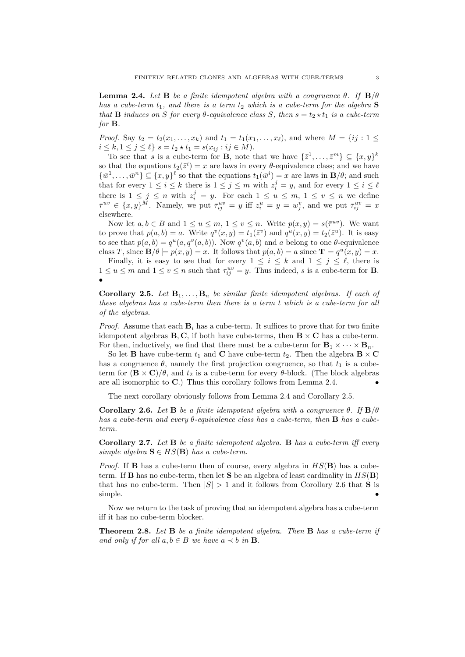**Lemma 2.4.** Let **B** be a finite idempotent algebra with a congruence  $\theta$ . If  $\mathbf{B}/\theta$ has a cube-term  $t_1$ , and there is a term  $t_2$  which is a cube-term for the algebra  $S$ that **B** induces on S for every  $\theta$ -equivalence class S, then  $s = t_2 \star t_1$  is a cube-term for B.

*Proof.* Say  $t_2 = t_2(x_1, ..., x_k)$  and  $t_1 = t_1(x_1, ..., x_\ell)$ , and where  $M = \{ij : 1 \leq i \leq n\}$  $i \leq k, 1 \leq j \leq \ell$   $s = t_2 * t_1 = s(x_{ij} : ij \in M)$ .

To see that s is a cube-term for **B**, note that we have  $\{\bar{z}^1, \ldots, \bar{z}^m\} \subseteq \{x, y\}^k$ so that the equations  $t_2(\bar{z}^i) = x$  are laws in every  $\theta$ -equivalence class; and we have  $\{\bar{w}^1,\ldots,\bar{w}^n\}\subseteq \{x,y\}^{\ell}$  so that the equations  $t_1(\bar{w}^i)=x$  are laws in  $\mathbf{B}/\theta$ ; and such that for every  $1 \leq i \leq k$  there is  $1 \leq j \leq m$  with  $z_i^j = y$ , and for every  $1 \leq i \leq \ell$ there is  $1 \leq j \leq n$  with  $z_i^j = y$ . For each  $1 \leq u \leq m$ ,  $1 \leq v \leq n$  we define  $\bar{\tau}^{uv} \in \{x, y\}^M$ . Namely, we put  $\bar{\tau}_{ij}^{uv} = y$  iff  $z_i^u = y = w_j^v$ , and we put  $\bar{\tau}_{ij}^{uv} = x$ elsewhere.

Now let  $a, b \in B$  and  $1 \le u \le m, 1 \le v \le n$ . Write  $p(x, y) = s(\bar{\tau}^{uv})$ . We want to prove that  $p(a, b) = a$ . Write  $q^v(x, y) = t_1(\overline{z}^v)$  and  $q^u(x, y) = t_2(\overline{z}^u)$ . It is easy to see that  $p(a, b) = q^u(a, q^v(a, b))$ . Now  $q^v(a, b)$  and a belong to one  $\theta$ -equivalence class T, since  $\mathbf{B}/\theta \models p(x, y) = x$ . It follows that  $p(a, b) = a$  since  $\mathbf{T} \models q^u(x, y) = x$ .

Finally, it is easy to see that for every  $1 \leq i \leq k$  and  $1 \leq j \leq \ell$ , there is  $1 \le u \le m$  and  $1 \le v \le n$  such that  $\tau_{ij}^{uv} = y$ . Thus indeed, s is a cube-term for **B**. •

Corollary 2.5. Let  $B_1, \ldots, B_n$  be similar finite idempotent algebras. If each of these algebras has a cube-term then there is a term t which is a cube-term for all of the algebras.

*Proof.* Assume that each  $\mathbf{B}_i$  has a cube-term. It suffices to prove that for two finite idempotent algebras  $B, C$ , if both have cube-terms, then  $B \times C$  has a cube-term. For then, inductively, we find that there must be a cube-term for  $\mathbf{B}_1 \times \cdots \times \mathbf{B}_n$ .

So let **B** have cube-term  $t_1$  and **C** have cube-term  $t_2$ . Then the algebra **B**  $\times$  **C** has a congruence  $\theta$ , namely the first projection congruence, so that  $t_1$  is a cubeterm for  $(\mathbf{B} \times \mathbf{C})/\theta$ , and  $t_2$  is a cube-term for every  $\theta$ -block. (The block algebras are all isomorphic to  $C$ .) Thus this corollary follows from Lemma 2.4.

The next corollary obviously follows from Lemma 2.4 and Corollary 2.5.

Corollary 2.6. Let B be a finite idempotent algebra with a congruence  $\theta$ . If  $\mathbf{B}/\theta$ has a cube-term and every  $\theta$ -equivalence class has a cube-term, then **B** has a cubeterm.

**Corollary 2.7.** Let  $B$  be a finite idempotent algebra.  $B$  has a cube-term iff every simple algebra  $\mathbf{S} \in HS(\mathbf{B})$  has a cube-term.

*Proof.* If **B** has a cube-term then of course, every algebra in  $HS(B)$  has a cubeterm. If **B** has no cube-term, then let **S** be an algebra of least cardinality in  $HS(B)$ that has no cube-term. Then  $|S| > 1$  and it follows from Corollary 2.6 that **S** is simple.  $\bullet$ 

Now we return to the task of proving that an idempotent algebra has a cube-term iff it has no cube-term blocker.

Theorem 2.8. Let B be a finite idempotent algebra. Then B has a cube-term if and only if for all  $a, b \in B$  we have  $a \prec b$  in **B**.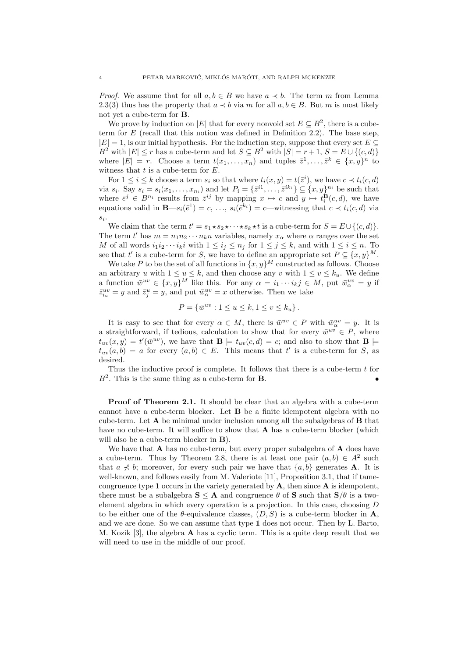*Proof.* We assume that for all  $a, b \in B$  we have  $a \prec b$ . The term m from Lemma 2.3(3) thus has the property that  $a \lt b$  via m for all  $a, b \in B$ . But m is most likely not yet a cube-term for B.

We prove by induction on  $|E|$  that for every nonvoid set  $E \subseteq B^2$ , there is a cubeterm for  $E$  (recall that this notion was defined in Definition 2.2). The base step,  $|E| = 1$ , is our initial hypothesis. For the induction step, suppose that every set  $E \subseteq$  $B^2$  with  $|E| \leq r$  has a cube-term and let  $S \subseteq B^2$  with  $|S| = r + 1$ ,  $S = E \cup \{(c, d)\}$ where  $|E| = r$ . Choose a term  $t(x_1, \ldots, x_n)$  and tuples  $\bar{z}^1, \ldots, \bar{z}^k \in \{x, y\}^n$  to witness that  $t$  is a cube-term for  $E$ .

For  $1 \leq i \leq k$  choose a term  $s_i$  so that where  $t_i(x, y) = t(\overline{z}^i)$ , we have  $c \prec t_i(c, d)$ via  $s_i$ . Say  $s_i = s_i(x_1, \ldots, x_{n_i})$  and let  $P_i = {\{\bar{z}}^{i_1}, \ldots, \bar{z}^{i_{k_i}}\}} \subseteq {x, y\}^{n_i}$  be such that where  $\bar{e}^j \in B^{n_i}$  results from  $\bar{z}^{ij}$  by mapping  $x \mapsto c$  and  $y \mapsto t_i^{\mathbf{B}}(c, d)$ , we have equations valid in  $\mathbf{B} \text{---} s_i(\bar{e}^1) = c, \ldots, s_i(\bar{e}^{k_i}) = c$ —witnessing that  $c \prec t_i(c, d)$  via  $s_i$ .

We claim that the term  $t' = s_1 \star s_2 \star \cdots \star s_k \star t$  is a cube-term for  $S = E \cup \{(c, d)\}.$ The term  $t'$  has  $m = n_1 n_2 \cdots n_k n$  variables, namely  $x_\alpha$  where  $\alpha$  ranges over the set M of all words  $i_1i_2\cdots i_ki$  with  $1\leq i_j\leq n_j$  for  $1\leq j\leq k$ , and with  $1\leq i\leq n$ . To see that t' is a cube-term for S, we have to define an appropriate set  $P \subseteq \{x, y\}^M$ .

We take P to be the set of all functions in  $\{x, y\}^M$  constructed as follows. Choose an arbitrary u with  $1 \le u \le k$ , and then choose any v with  $1 \le v \le k_u$ . We define a function  $\bar{w}^{uv} \in \{x, y\}^M$  like this. For any  $\alpha = i_1 \cdots i_k j \in M$ , put  $\bar{w}^{uv}$  = y if  $\bar{z}_{i_u}^{uv} = y$  and  $\bar{z}_j^u = y$ , and put  $\bar{w}_{\alpha}^{uv} = x$  otherwise. Then we take

$$
P = \{\bar{w}^{uv} : 1 \le u \le k, 1 \le v \le k_u\}.
$$

It is easy to see that for every  $\alpha \in M$ , there is  $\bar{w}^{uv} \in P$  with  $\bar{w}^{uv} = y$ . It is a straightforward, if tedious, calculation to show that for every  $\bar{w}^{uv} \in P$ , where  $t_{uv}(x,y) = t'(\bar{w}^{uv})$ , we have that  $\mathbf{B} \models t_{uv}(c,d) = c$ ; and also to show that  $\mathbf{B} \models$  $t_{uv}(a, b) = a$  for every  $(a, b) \in E$ . This means that t' is a cube-term for S, as desired.

Thus the inductive proof is complete. It follows that there is a cube-term t for  $B^2$ . This is the same thing as a cube-term for **B**.

Proof of Theorem 2.1. It should be clear that an algebra with a cube-term cannot have a cube-term blocker. Let B be a finite idempotent algebra with no cube-term. Let A be minimal under inclusion among all the subalgebras of B that have no cube-term. It will suffice to show that  $A$  has a cube-term blocker (which will also be a cube-term blocker in **B**).

We have that  $\bf{A}$  has no cube-term, but every proper subalgebra of  $\bf{A}$  does have a cube-term. Thus by Theorem 2.8, there is at least one pair  $(a, b) \in A^2$  such that  $a \nless b$ ; moreover, for every such pair we have that  $\{a, b\}$  generates **A**. It is well-known, and follows easily from M. Valeriote [11], Proposition 3.1, that if tamecongruence type 1 occurs in the variety generated by  $A$ , then since  $A$  is idempotent, there must be a subalgebra  $S \leq A$  and congruence  $\theta$  of S such that  $S/\theta$  is a twoelement algebra in which every operation is a projection. In this case, choosing D to be either one of the  $\theta$ -equivalence classes,  $(D, S)$  is a cube-term blocker in A, and we are done. So we can assume that type 1 does not occur. Then by L. Barto, M. Kozik [3], the algebra A has a cyclic term. This is a quite deep result that we will need to use in the middle of our proof.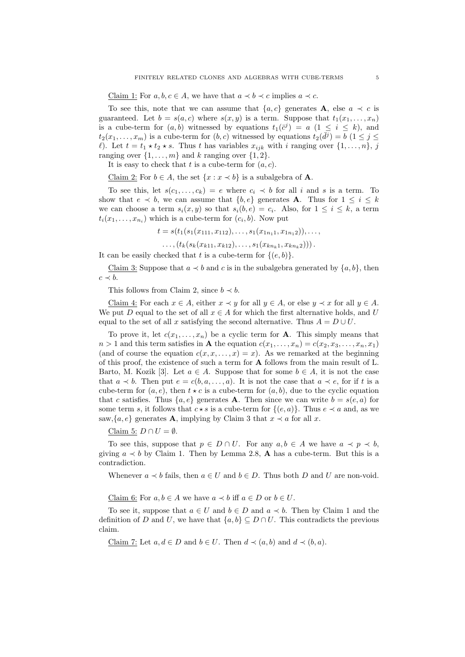Claim 1: For  $a, b, c \in A$ , we have that  $a \prec b \prec c$  implies  $a \prec c$ .

To see this, note that we can assume that  $\{a, c\}$  generates **A**, else  $a \prec c$  is guaranteed. Let  $b = s(a, c)$  where  $s(x, y)$  is a term. Suppose that  $t_1(x_1, \ldots, x_n)$ is a cube-term for  $(a, b)$  witnessed by equations  $t_1(\bar{c}^j) = a$   $(1 \leq i \leq k)$ , and  $t_2(x_1,...,x_m)$  is a cube-term for  $(b, c)$  witnessed by equations  $t_2(\bar{d}^j) = b$   $(1 \leq j \leq j)$  $\ell$ ). Let  $t = t_1 \star t_2 \star s$ . Thus t has variables  $x_{ijk}$  with i ranging over  $\{1, \ldots, n\}, j$ ranging over  $\{1, \ldots, m\}$  and k ranging over  $\{1, 2\}$ .

It is easy to check that t is a cube-term for  $(a, c)$ .

Claim 2: For  $b \in A$ , the set  $\{x : x \prec b\}$  is a subalgebra of **A**.

To see this, let  $s(c_1, \ldots, c_k) = e$  where  $c_i \prec b$  for all i and s is a term. To show that  $e \prec b$ , we can assume that  $\{b, e\}$  generates **A**. Thus for  $1 \leq i \leq k$ we can choose a term  $s_i(x, y)$  so that  $s_i(b, e) = c_i$ . Also, for  $1 \leq i \leq k$ , a term  $t_i(x_1,\ldots,x_{n_i})$  which is a cube-term for  $(c_i,b)$ . Now put

 $t = s(t_1(s_1(x_{111}, x_{112}), \ldots, s_1(x_{1n_11}, x_{1n_12})), \ldots,$ 

 $\dots$ ,  $(t_k(s_k(x_{k11}, x_{k12}), \dots, s_1(x_{kn_k1}, x_{kn_k2})))$ .

It can be easily checked that t is a cube-term for  $\{(e, b)\}.$ 

Claim 3: Suppose that  $a \prec b$  and c is in the subalgebra generated by  $\{a, b\}$ , then  $c \prec b$ .

This follows from Claim 2, since  $b \prec b$ .

Claim 4: For each  $x \in A$ , either  $x \prec y$  for all  $y \in A$ , or else  $y \prec x$  for all  $y \in A$ . We put D equal to the set of all  $x \in A$  for which the first alternative holds, and U equal to the set of all x satisfying the second alternative. Thus  $A = D \cup U$ .

To prove it, let  $c(x_1, \ldots, x_n)$  be a cyclic term for **A**. This simply means that  $n > 1$  and this term satisfies in **A** the equation  $c(x_1, \ldots, x_n) = c(x_2, x_3, \ldots, x_n, x_1)$ (and of course the equation  $c(x, x, \dots, x) = x$ ). As we remarked at the beginning of this proof, the existence of such a term for A follows from the main result of L. Barto, M. Kozik [3]. Let  $a \in A$ . Suppose that for some  $b \in A$ , it is not the case that  $a \prec b$ . Then put  $e = c(b, a, \ldots, a)$ . It is not the case that  $a \prec e$ , for if t is a cube-term for  $(a, e)$ , then  $t \star c$  is a cube-term for  $(a, b)$ , due to the cyclic equation that c satisfies. Thus  $\{a, e\}$  generates **A**. Then since we can write  $b = s(e, a)$  for some term s, it follows that  $c \star s$  is a cube-term for  $\{(e, a)\}$ . Thus  $e \prec a$  and, as we saw, $\{a, e\}$  generates **A**, implying by Claim 3 that  $x \prec a$  for all x.

Claim 5:  $D \cap U = \emptyset$ .

To see this, suppose that  $p \in D \cap U$ . For any  $a, b \in A$  we have  $a \prec p \prec b$ , giving  $a \prec b$  by Claim 1. Then by Lemma 2.8, **A** has a cube-term. But this is a contradiction.

Whenever  $a \prec b$  fails, then  $a \in U$  and  $b \in D$ . Thus both D and U are non-void.

Claim 6: For  $a, b \in A$  we have  $a \prec b$  iff  $a \in D$  or  $b \in U$ .

To see it, suppose that  $a \in U$  and  $b \in D$  and  $a \prec b$ . Then by Claim 1 and the definition of D and U, we have that  $\{a, b\} \subseteq D \cap U$ . This contradicts the previous claim.

Claim 7: Let  $a, d \in D$  and  $b \in U$ . Then  $d \prec (a, b)$  and  $d \prec (b, a)$ .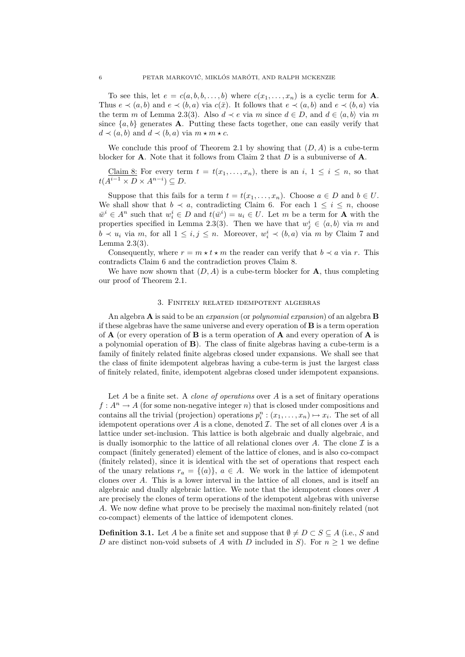To see this, let  $e = c(a, b, b, \ldots, b)$  where  $c(x_1, \ldots, x_n)$  is a cyclic term for **A**. Thus  $e \prec (a, b)$  and  $e \prec (b, a)$  via  $c(\bar{x})$ . It follows that  $e \prec (a, b)$  and  $e \prec (b, a)$  via the term m of Lemma 2.3(3). Also  $d \lt e$  via m since  $d \in D$ , and  $d \in \langle a, b \rangle$  via m since  $\{a, b\}$  generates **A**. Putting these facts together, one can easily verify that  $d \prec (a, b)$  and  $d \prec (b, a)$  via  $m \star m \star c$ .

We conclude this proof of Theorem 2.1 by showing that  $(D, A)$  is a cube-term blocker for **A**. Note that it follows from Claim 2 that  $D$  is a subuniverse of **A**.

Claim 8: For every term  $t = t(x_1, \ldots, x_n)$ , there is an  $i, 1 \le i \le n$ , so that  $t(A^{i-1} \times D \times A^{n-i}) \subseteq D$ .

Suppose that this fails for a term  $t = t(x_1, \ldots, x_n)$ . Choose  $a \in D$  and  $b \in U$ . We shall show that  $b \prec a$ , contradicting Claim 6. For each  $1 \leq i \leq n$ , choose  $\bar{w}^i \in A^n$  such that  $w_i^i \in D$  and  $t(\bar{w}^i) = u_i \in U$ . Let m be a term for **A** with the properties specified in Lemma 2.3(3). Then we have that  $w_j^i \in \langle a, b \rangle$  via m and  $b \prec u_i$  via m, for all  $1 \leq i, j \leq n$ . Moreover,  $w_i^i \prec (b, a)$  via m by Claim 7 and Lemma 2.3(3).

Consequently, where  $r = m * t * m$  the reader can verify that  $b \prec a$  via r. This contradicts Claim 6 and the contradiction proves Claim 8.

We have now shown that  $(D, A)$  is a cube-term blocker for **A**, thus completing our proof of Theorem 2.1.

### 3. Finitely related idempotent algebras

An algebra  $\bf{A}$  is said to be an *expansion* (or *polynomial expansion*) of an algebra  $\bf{B}$ if these algebras have the same universe and every operation of  $\bf{B}$  is a term operation of  $A$  (or every operation of  $B$  is a term operation of  $A$  and every operation of  $A$  is a polynomial operation of B). The class of finite algebras having a cube-term is a family of finitely related finite algebras closed under expansions. We shall see that the class of finite idempotent algebras having a cube-term is just the largest class of finitely related, finite, idempotent algebras closed under idempotent expansions.

Let  $A$  be a finite set. A *clone of operations* over  $A$  is a set of finitary operations  $f: A^n \to A$  (for some non-negative integer n) that is closed under compositions and contains all the trivial (projection) operations  $p_i^n : (x_1, \ldots, x_n) \mapsto x_i$ . The set of all idempotent operations over A is a clone, denoted  $\mathcal I$ . The set of all clones over A is a lattice under set-inclusion. This lattice is both algebraic and dually algebraic, and is dually isomorphic to the lattice of all relational clones over A. The clone  $\mathcal I$  is a compact (finitely generated) element of the lattice of clones, and is also co-compact (finitely related), since it is identical with the set of operations that respect each of the unary relations  $r_a = \{(a)\}\,$ ,  $a \in A$ . We work in the lattice of idempotent clones over A. This is a lower interval in the lattice of all clones, and is itself an algebraic and dually algebraic lattice. We note that the idempotent clones over A are precisely the clones of term operations of the idempotent algebras with universe A. We now define what prove to be precisely the maximal non-finitely related (not co-compact) elements of the lattice of idempotent clones.

**Definition 3.1.** Let A be a finite set and suppose that  $\emptyset \neq D \subset S \subseteq A$  (i.e., S and D are distinct non-void subsets of A with D included in S). For  $n \geq 1$  we define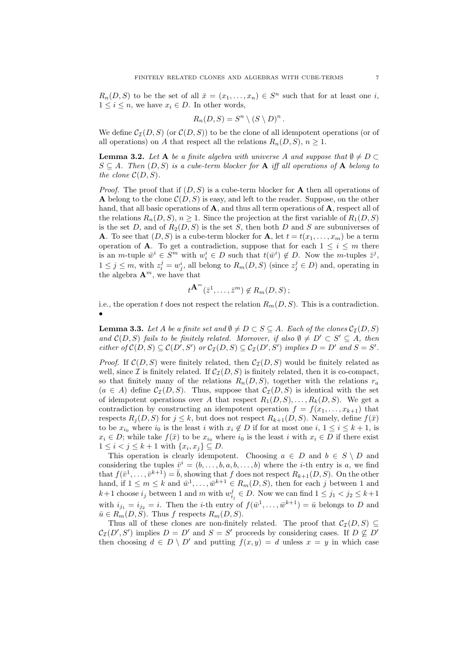$R_n(D, S)$  to be the set of all  $\bar{x} = (x_1, \ldots, x_n) \in S^n$  such that for at least one *i*,  $1 \leq i \leq n$ , we have  $x_i \in D$ . In other words,

$$
R_n(D, S) = S^n \setminus (S \setminus D)^n.
$$

We define  $\mathcal{C}_{\mathcal{I}}(D, S)$  (or  $\mathcal{C}(D, S)$ ) to be the clone of all idempotent operations (or of all operations) on A that respect all the relations  $R_n(D, S)$ ,  $n \geq 1$ .

**Lemma 3.2.** Let A be a finite algebra with universe A and suppose that  $\emptyset \neq D \subset$  $S \subseteq A$ . Then  $(D, S)$  is a cube-term blocker for **A** iff all operations of **A** belong to the clone  $\mathcal{C}(D, S)$ .

*Proof.* The proof that if  $(D, S)$  is a cube-term blocker for **A** then all operations of A belong to the clone  $\mathcal{C}(D, S)$  is easy, and left to the reader. Suppose, on the other hand, that all basic operations of **A**, and thus all term operations of **A**, respect all of the relations  $R_n(D, S)$ ,  $n \geq 1$ . Since the projection at the first variable of  $R_1(D, S)$ is the set D, and of  $R_2(D, S)$  is the set S, then both D and S are subuniverses of **A**. To see that  $(D, S)$  is a cube-term blocker for **A**, let  $t = t(x_1, \ldots, x_m)$  be a term operation of **A**. To get a contradiction, suppose that for each  $1 \leq i \leq m$  there is an *m*-tuple  $\bar{w}^i \in S^m$  with  $w_i^i \in D$  such that  $t(\bar{w}^i) \notin D$ . Now the *m*-tuples  $\bar{z}^j$ ,  $1 \leq j \leq m$ , with  $z_i^j = w_j^i$ , all belong to  $R_m(D, S)$  (since  $z_j^j \in D$ ) and, operating in the algebra  $\mathbf{A}^m$ , we have that

$$
t^{\mathbf{A}^m}(\bar{z}^1,\ldots,\bar{z}^m)\notin R_m(D,S)\,;
$$

i.e., the operation t does not respect the relation  $R_m(D, S)$ . This is a contradiction. •

**Lemma 3.3.** Let A be a finite set and  $\emptyset \neq D \subset S \subseteq A$ . Each of the clones  $\mathcal{C}_{\mathcal{I}}(D, S)$ and  $\mathcal{C}(D, S)$  fails to be finitely related. Moreover, if also  $\emptyset \neq D' \subset S' \subseteq A$ , then either of  $\mathcal{C}(D, S) \subseteq \mathcal{C}(D', S')$  or  $\mathcal{C}_{\mathcal{I}}(D, S) \subseteq \mathcal{C}_{\mathcal{I}}(D', S')$  implies  $D = D'$  and  $S = S'$ .

*Proof.* If  $C(D, S)$  were finitely related, then  $C<sub>\mathcal{I}</sub>(D, S)$  would be finitely related as well, since I is finitely related. If  $C_{\mathcal{I}}(D, S)$  is finitely related, then it is co-compact, so that finitely many of the relations  $R_n(D, S)$ , together with the relations  $r_a$  $(a \in A)$  define  $\mathcal{C}_{\mathcal{I}}(D, S)$ . Thus, suppose that  $\mathcal{C}_{\mathcal{I}}(D, S)$  is identical with the set of idempotent operations over A that respect  $R_1(D, S), \ldots, R_k(D, S)$ . We get a contradiction by constructing an idempotent operation  $f = f(x_1, \ldots, x_{k+1})$  that respects  $R_j(D, S)$  for  $j \leq k$ , but does not respect  $R_{k+1}(D, S)$ . Namely, define  $f(\bar{x})$ to be  $x_{i_0}$  where  $i_0$  is the least i with  $x_i \notin D$  if for at most one  $i, 1 \le i \le k+1$ , is  $x_i \in D$ ; while take  $f(\bar{x})$  to be  $x_{i_0}$  where  $i_0$  is the least i with  $x_i \in D$  if there exist  $1 \leq i < j \leq k+1$  with  $\{x_i, x_j\} \subseteq D$ .

This operation is clearly idempotent. Choosing  $a \in D$  and  $b \in S \setminus D$  and considering the tuples  $\bar{v}^i = (b, \ldots, b, a, b, \ldots, b)$  where the *i*-th entry is *a*, we find that  $f(\bar{v}^1, \ldots, \bar{v}^{k+1}) = \bar{b}$ , showing that f does not respect  $R_{k+1}(D, S)$ . On the other hand, if  $1 \leq m \leq k$  and  $\bar{w}^1, \ldots, \bar{w}^{k+1} \in R_m(D, S)$ , then for each j between 1 and  $k+1$  choose  $i_j$  between 1 and m with  $w_{i_j}^j \in D$ . Now we can find  $1 \leq j_1 < j_2 \leq k+1$ with  $i_{j_1} = i_{j_2} = i$ . Then the *i*-th entry of  $f(\bar{w}^1, \ldots, \bar{w}^{k+1}) = \bar{u}$  belongs to D and  $\bar{u} \in R_m(D, S)$ . Thus f respects  $R_m(D, S)$ .

Thus all of these clones are non-finitely related. The proof that  $\mathcal{C}_{\mathcal{I}}(D, S) \subseteq$  $\mathcal{C}_{\mathcal{I}}(D', S')$  implies  $D = D'$  and  $S = S'$  proceeds by considering cases. If  $D \not\subseteq D'$ then choosing  $d \in D \setminus D'$  and putting  $f(x, y) = d$  unless  $x = y$  in which case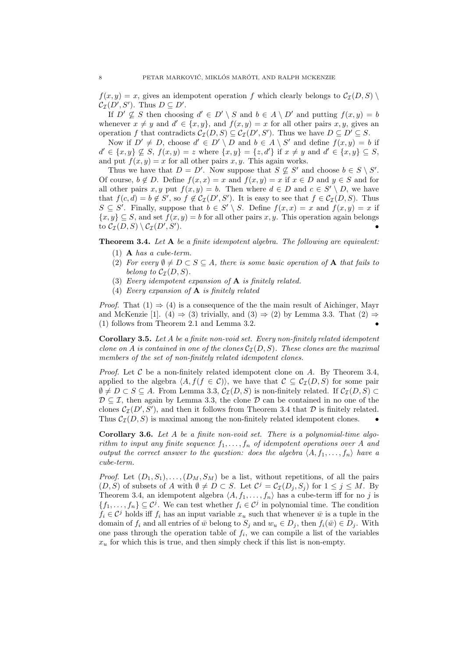$f(x, y) = x$ , gives an idempotent operation f which clearly belongs to  $C_{\mathcal{I}}(D, S)$  $\mathcal{C}_{\mathcal{I}}(D', S')$ . Thus  $D \subseteq D'$ .

If  $D' \nsubseteq S$  then choosing  $d' \in D' \setminus S$  and  $b \in A \setminus D'$  and putting  $f(x, y) = b$ whenever  $x \neq y$  and  $d' \in \{x, y\}$ , and  $f(x, y) = x$  for all other pairs  $x, y$ , gives an operation f that contradicts  $\mathcal{C}_{\mathcal{I}}(D, S) \subseteq \mathcal{C}_{\mathcal{I}}(D', S')$ . Thus we have  $D \subseteq D' \subseteq S$ .

Now if  $D' \neq D$ , choose  $d' \in D' \setminus D$  and  $b \in A \setminus S'$  and define  $f(x, y) = b$  if  $d' \in \{x, y\} \not\subseteq S, f(x, y) = z$  where  $\{x, y\} = \{z, d'\}$  if  $x \neq y$  and  $d' \in \{x, y\} \subseteq S$ , and put  $f(x, y) = x$  for all other pairs x, y. This again works.

Thus we have that  $D = D'$ . Now suppose that  $S \nsubseteq S'$  and choose  $b \in S \setminus S'$ . Of course,  $b \notin D$ . Define  $f(x, x) = x$  and  $f(x, y) = x$  if  $x \in D$  and  $y \in S$  and for all other pairs x, y put  $f(x, y) = b$ . Then where  $d \in D$  and  $c \in S' \setminus D$ , we have that  $f(c,d) = b \notin S'$ , so  $f \notin C_{\mathcal{I}}(D',S')$ . It is easy to see that  $f \in C_{\mathcal{I}}(D,S)$ . Thus  $S \subseteq S'$ . Finally, suppose that  $b \in S' \setminus S$ . Define  $f(x, x) = x$  and  $f(x, y) = x$  if  $\{x, y\} \subseteq S$ , and set  $f(x, y) = b$  for all other pairs x, y. This operation again belongs to  $\mathcal{C}_{\mathcal{I}}(D,S)\setminus \mathcal{C}_{\mathcal{I}}(D',S')$ ).  $\bullet$ 

Theorem 3.4. Let A be a finite idempotent algebra. The following are equivalent:

- (1) A has a cube-term.
- (2) For every  $\emptyset \neq D \subset S \subseteq A$ , there is some basic operation of **A** that fails to belong to  $\mathcal{C}_{\mathcal{I}}(D, S)$ .
- (3) Every idempotent expansion of  $A$  is finitely related.
- (4) Every expansion of  $A$  is finitely related

*Proof.* That  $(1) \Rightarrow (4)$  is a consequence of the the main result of Aichinger, Mayr and McKenzie [1]. (4)  $\Rightarrow$  (3) trivially, and (3)  $\Rightarrow$  (2) by Lemma 3.3. That (2)  $\Rightarrow$ (1) follows from Theorem 2.1 and Lemma 3.2. •

**Corollary 3.5.** Let  $A$  be a finite non-void set. Every non-finitely related idempotent clone on A is contained in one of the clones  $C_{\mathcal{I}}(D, S)$ . These clones are the maximal members of the set of non-finitely related idempotent clones.

*Proof.* Let C be a non-finitely related idempotent clone on A. By Theorem 3.4, applied to the algebra  $\langle A, f(f \in \mathcal{C}) \rangle$ , we have that  $\mathcal{C} \subseteq C_{\mathcal{I}}(D, S)$  for some pair  $\emptyset \neq D \subset S \subseteq A$ . From Lemma 3.3,  $\mathcal{C}_{\mathcal{I}}(D, S)$  is non-finitely related. If  $\mathcal{C}_{\mathcal{I}}(D, S) \subset$  $\mathcal{D} \subset \mathcal{I}$ , then again by Lemma 3.3, the clone  $\mathcal{D}$  can be contained in no one of the clones  $\mathcal{C}_{\mathcal{I}}(D', S')$ , and then it follows from Theorem 3.4 that  $\mathcal D$  is finitely related. Thus  $C_{\mathcal{I}}(D, S)$  is maximal among the non-finitely related idempotent clones.

Corollary 3.6. Let A be a finite non-void set. There is a polynomial-time algorithm to input any finite sequence  $f_1, \ldots, f_n$  of idempotent operations over A and output the correct answer to the question: does the algebra  $\langle A, f_1, \ldots, f_n \rangle$  have a cube-term.

*Proof.* Let  $(D_1, S_1), \ldots, (D_M, S_M)$  be a list, without repetitions, of all the pairs  $(D, S)$  of subsets of A with  $\emptyset \neq D \subset S$ . Let  $\mathcal{C}^j = \mathcal{C}_{\mathcal{I}}(D_j, S_j)$  for  $1 \leq j \leq M$ . By Theorem 3.4, an idempotent algebra  $\langle A, f_1, \ldots, f_n \rangle$  has a cube-term iff for no j is  $\{f_1,\ldots,f_n\}\subseteq \mathcal{C}^j$ . We can test whether  $f_i \in \mathcal{C}^j$  in polynomial time. The condition  $f_i \in \mathcal{C}^j$  holds iff  $f_i$  has an input variable  $x_u$  such that whenever  $\bar{w}$  is a tuple in the domain of  $f_i$  and all entries of  $\bar{w}$  belong to  $S_j$  and  $w_u \in D_j$ , then  $f_i(\bar{w}) \in D_j$ . With one pass through the operation table of  $f_i$ , we can compile a list of the variables  $x<sub>u</sub>$  for which this is true, and then simply check if this list is non-empty.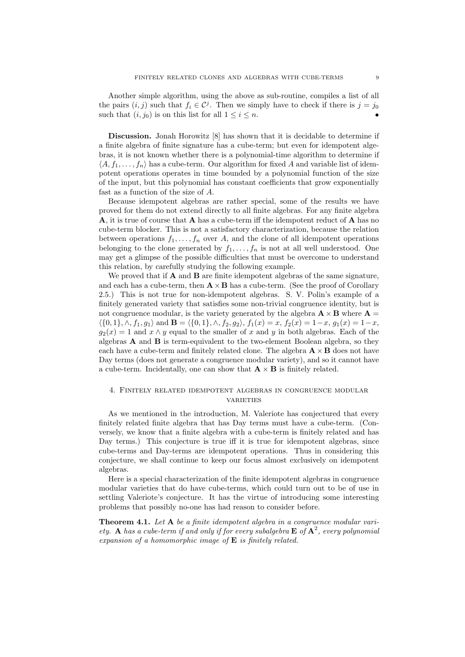Another simple algorithm, using the above as sub-routine, compiles a list of all the pairs  $(i, j)$  such that  $f_i \in \mathcal{C}^j$ . Then we simply have to check if there is  $j = j_0$ such that  $(i, j_0)$  is on this list for all  $1 \leq i \leq n$ .

Discussion. Jonah Horowitz [8] has shown that it is decidable to determine if a finite algebra of finite signature has a cube-term; but even for idempotent algebras, it is not known whether there is a polynomial-time algorithm to determine if  $\langle A, f_1, \ldots, f_n \rangle$  has a cube-term. Our algorithm for fixed A and variable list of idempotent operations operates in time bounded by a polynomial function of the size of the input, but this polynomial has constant coefficients that grow exponentially fast as a function of the size of A.

Because idempotent algebras are rather special, some of the results we have proved for them do not extend directly to all finite algebras. For any finite algebra A, it is true of course that A has a cube-term iff the idempotent reduct of A has no cube-term blocker. This is not a satisfactory characterization, because the relation between operations  $f_1, \ldots, f_n$  over A, and the clone of all idempotent operations belonging to the clone generated by  $f_1, \ldots, f_n$  is not at all well understood. One may get a glimpse of the possible difficulties that must be overcome to understand this relation, by carefully studying the following example.

We proved that if  $A$  and  $B$  are finite idempotent algebras of the same signature, and each has a cube-term, then  $\mathbf{A} \times \mathbf{B}$  has a cube-term. (See the proof of Corollary 2.5.) This is not true for non-idempotent algebras. S. V. Polin's example of a finitely generated variety that satisfies some non-trivial congruence identity, but is not congruence modular, is the variety generated by the algebra  $\mathbf{A} \times \mathbf{B}$  where  $\mathbf{A} =$  $\langle \{0, 1\}, \wedge, f_1, g_1 \rangle$  and  $\mathbf{B} = \langle \{0, 1\}, \wedge, f_2, g_2 \rangle, f_1(x) = x, f_2(x) = 1-x, g_1(x) = 1-x,$  $g_2(x) = 1$  and  $x \wedge y$  equal to the smaller of x and y in both algebras. Each of the algebras  $\bf{A}$  and  $\bf{B}$  is term-equivalent to the two-element Boolean algebra, so they each have a cube-term and finitely related clone. The algebra  $\mathbf{A} \times \mathbf{B}$  does not have Day terms (does not generate a congruence modular variety), and so it cannot have a cube-term. Incidentally, one can show that  $\mathbf{A} \times \mathbf{B}$  is finitely related.

## 4. Finitely related idempotent algebras in congruence modular **VARIETIES**

As we mentioned in the introduction, M. Valeriote has conjectured that every finitely related finite algebra that has Day terms must have a cube-term. (Conversely, we know that a finite algebra with a cube-term is finitely related and has Day terms.) This conjecture is true iff it is true for idempotent algebras, since cube-terms and Day-terms are idempotent operations. Thus in considering this conjecture, we shall continue to keep our focus almost exclusively on idempotent algebras.

Here is a special characterization of the finite idempotent algebras in congruence modular varieties that do have cube-terms, which could turn out to be of use in settling Valeriote's conjecture. It has the virtue of introducing some interesting problems that possibly no-one has had reason to consider before.

**Theorem 4.1.** Let A be a finite idempotent algebra in a congruence modular variety. A has a cube-term if and only if for every subalgebra  $E$  of  $A^2$ , every polynomial expansion of a homomorphic image of  $E$  is finitely related.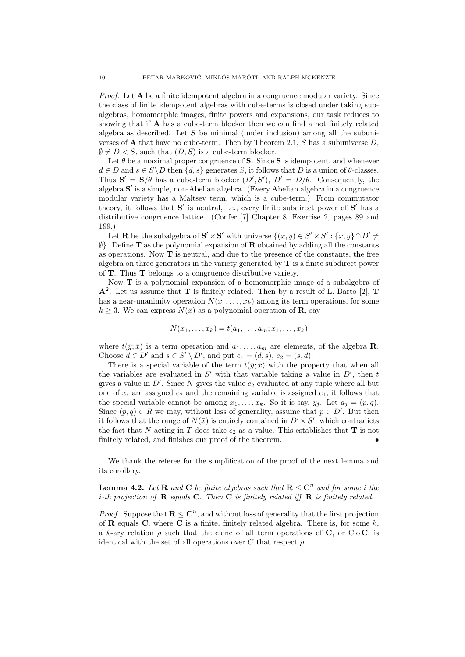*Proof.* Let  $A$  be a finite idempotent algebra in a congruence modular variety. Since the class of finite idempotent algebras with cube-terms is closed under taking subalgebras, homomorphic images, finite powers and expansions, our task reduces to showing that if A has a cube-term blocker then we can find a not finitely related algebra as described. Let  $S$  be minimal (under inclusion) among all the subuniverses of  $\bf{A}$  that have no cube-term. Then by Theorem 2.1, S has a subuniverse D,  $\emptyset \neq D < S$ , such that  $(D, S)$  is a cube-term blocker.

Let  $\theta$  be a maximal proper congruence of S. Since S is idempotent, and whenever  $d \in D$  and  $s \in S \backslash D$  then  $\{d, s\}$  generates S, it follows that D is a union of  $\theta$ -classes. Thus  $S' = S/\theta$  has a cube-term blocker  $(D', S')$ ,  $D' = D/\theta$ . Consequently, the algebra  $\mathbf{S}'$  is a simple, non-Abelian algebra. (Every Abelian algebra in a congruence modular variety has a Maltsev term, which is a cube-term.) From commutator theory, it follows that  $S'$  is neutral, i.e., every finite subdirect power of  $S'$  has a distributive congruence lattice. (Confer [7] Chapter 8, Exercise 2, pages 89 and 199.)

Let **R** be the subalgebra of  $S' \times S'$  with universe  $\{(x, y) \in S' \times S' : \{x, y\} \cap D' \neq \emptyset\}$  $\emptyset$ . Define **T** as the polynomial expansion of **R** obtained by adding all the constants as operations. Now T is neutral, and due to the presence of the constants, the free algebra on three generators in the variety generated by  $T$  is a finite subdirect power of T. Thus T belongs to a congruence distributive variety.

Now T is a polynomial expansion of a homomorphic image of a subalgebra of  $\mathbf{A}^2$ . Let us assume that **T** is finitely related. Then by a result of L. Barto [2], **T** has a near-unanimity operation  $N(x_1, \ldots, x_k)$  among its term operations, for some  $k \geq 3$ . We can express  $N(\bar{x})$  as a polynomial operation of **R**, say

$$
N(x_1,\ldots,x_k)=t(a_1,\ldots,a_m;x_1,\ldots,x_k)
$$

where  $t(\bar{y}; \bar{x})$  is a term operation and  $a_1, \ldots, a_m$  are elements, of the algebra **R**. Choose  $d \in D'$  and  $s \in S' \setminus D'$ , and put  $e_1 = (d, s), e_2 = (s, d)$ .

There is a special variable of the term  $t(\bar{y}; \bar{x})$  with the property that when all the variables are evaluated in  $S'$  with that variable taking a value in  $D'$ , then t gives a value in  $D'$ . Since N gives the value  $e_2$  evaluated at any tuple where all but one of  $x_i$  are assigned  $e_2$  and the remaining variable is assigned  $e_1$ , it follows that the special variable cannot be among  $x_1, \ldots, x_k$ . So it is say,  $y_i$ . Let  $a_i = (p, q)$ . Since  $(p, q) \in R$  we may, without loss of generality, assume that  $p \in D'$ . But then it follows that the range of  $N(\bar{x})$  is entirely contained in  $D' \times S'$ , which contradicts the fact that N acting in T does take  $e_2$  as a value. This establishes that T is not finitely related, and finishes our proof of the theorem. •

We thank the referee for the simplification of the proof of the next lemma and its corollary.

**Lemma 4.2.** Let **R** and **C** be finite algebras such that  $R \leq C^n$  and for some i the *i*-th projection of **R** equals **C**. Then **C** is finitely related iff **R** is finitely related.

*Proof.* Suppose that  $\mathbf{R} \leq \mathbf{C}^n$ , and without loss of generality that the first projection of **R** equals **C**, where **C** is a finite, finitely related algebra. There is, for some  $k$ , a k-ary relation  $\rho$  such that the clone of all term operations of C, or Clo C, is identical with the set of all operations over C that respect  $\rho$ .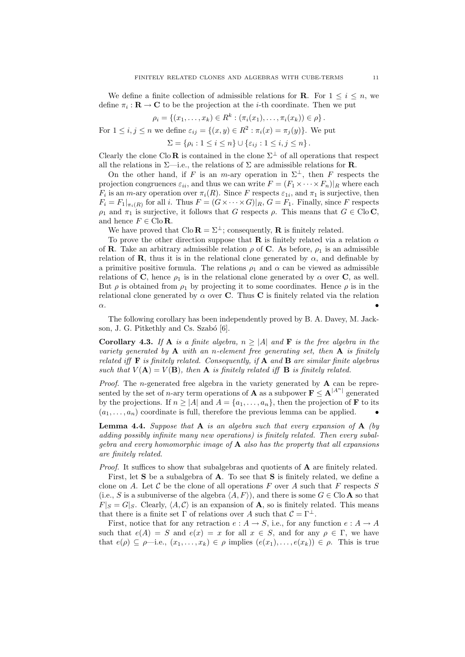We define a finite collection of admissible relations for **R**. For  $1 \leq i \leq n$ , we define  $\pi_i : \mathbf{R} \to \mathbf{C}$  to be the projection at the *i*-th coordinate. Then we put

$$
\rho_i = \{(x_1, \ldots, x_k) \in R^k : (\pi_i(x_1), \ldots, \pi_i(x_k)) \in \rho\}.
$$

For  $1 \leq i, j \leq n$  we define  $\varepsilon_{ij} = \{(x, y) \in \mathbb{R}^2 : \pi_i(x) = \pi_j(y)\}.$  We put

 $\Sigma = \{\rho_i : 1 \leq i \leq n\} \cup \{\varepsilon_{ij} : 1 \leq i, j \leq n\}.$ 

Clearly the clone Clo R is contained in the clone  $\Sigma^{\perp}$  of all operations that respect all the relations in  $\Sigma$ —i.e., the relations of  $\Sigma$  are admissible relations for **R**.

On the other hand, if F is an m-ary operation in  $\Sigma^{\perp}$ , then F respects the projection congruences  $\varepsilon_{ii}$ , and thus we can write  $F = (F_1 \times \cdots \times F_n)|_R$  where each  $F_i$  is an *m*-ary operation over  $\pi_i(R)$ . Since F respects  $\varepsilon_{1i}$ , and  $\pi_1$  is surjective, then  $F_i = F_1|_{\pi_i(R)}$  for all i. Thus  $F = (G \times \cdots \times G)|_R$ ,  $G = F_1$ . Finally, since F respects  $\rho_1$  and  $\pi_1$  is surjective, it follows that G respects  $\rho$ . This means that  $G \in \text{Clo } \mathbb{C}$ , and hence  $F \in \text{Clo } \mathbf{R}$ .

We have proved that  $\text{Cl}_0 \mathbf{R} = \Sigma^{\perp}$ ; consequently, **R** is finitely related.

To prove the other direction suppose that **R** is finitely related via a relation  $\alpha$ of **R**. Take an arbitrary admissible relation  $\rho$  of **C**. As before,  $\rho_1$  is an admissible relation of **R**, thus it is in the relational clone generated by  $\alpha$ , and definable by a primitive positive formula. The relations  $\rho_1$  and  $\alpha$  can be viewed as admissible relations of C, hence  $\rho_1$  is in the relational clone generated by  $\alpha$  over C, as well. But  $\rho$  is obtained from  $\rho_1$  by projecting it to some coordinates. Hence  $\rho$  is in the relational clone generated by  $\alpha$  over **C**. Thus **C** is finitely related via the relation  $\alpha$ .

The following corollary has been independently proved by B. A. Davey, M. Jackson, J. G. Pitkethly and Cs. Szabó [6].

**Corollary 4.3.** If **A** is a finite algebra,  $n \geq |A|$  and **F** is the free algebra in the variety generated by  $A$  with an n-element free generating set, then  $A$  is finitely related iff **F** is finitely related. Consequently, if **A** and **B** are similar finite algebras such that  $V(A) = V(B)$ , then **A** is finitely related iff **B** is finitely related.

*Proof.* The *n*-generated free algebra in the variety generated by  $A$  can be represented by the set of *n*-ary term operations of **A** as a subpower  $\mathbf{F} \leq \mathbf{A}^{|A^n|}$  generated by the projections. If  $n \geq |A|$  and  $A = \{a_1, \ldots, a_n\}$ , then the projection of **F** to its  $(a_1, \ldots, a_n)$  coordinate is full, therefore the previous lemma can be applied.

**Lemma 4.4.** Suppose that  $A$  is an algebra such that every expansion of  $A$  (by adding possibly infinite many new operations) is finitely related. Then every subalgebra and every homomorphic image of  $A$  also has the property that all expansions are finitely related.

Proof. It suffices to show that subalgebras and quotients of **A** are finitely related.

First, let S be a subalgebra of A. To see that S is finitely related, we define a clone on A. Let  $\mathcal C$  be the clone of all operations F over A such that F respects S (i.e., S is a subuniverse of the algebra  $\langle A, F \rangle$ ), and there is some  $G \in \text{Clo } A$  so that  $F|_S = G|_S$ . Clearly,  $\langle A, C \rangle$  is an expansion of **A**, so is finitely related. This means that there is a finite set  $\Gamma$  of relations over A such that  $\mathcal{C} = \Gamma^{\perp}$ .

First, notice that for any retraction  $e : A \to S$ , i.e., for any function  $e : A \to A$ such that  $e(A) = S$  and  $e(x) = x$  for all  $x \in S$ , and for any  $\rho \in \Gamma$ , we have that  $e(\rho) \subseteq \rho$ —i.e.,  $(x_1, \ldots, x_k) \in \rho$  implies  $(e(x_1), \ldots, e(x_k)) \in \rho$ . This is true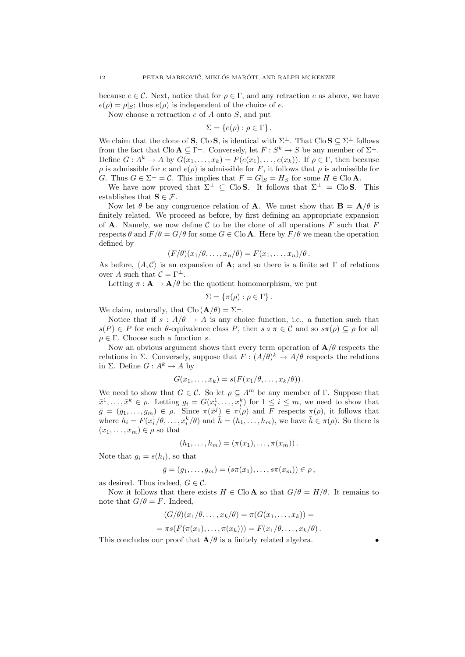because  $e \in \mathcal{C}$ . Next, notice that for  $\rho \in \Gamma$ , and any retraction e as above, we have  $e(\rho) = \rho|_{S}$ ; thus  $e(\rho)$  is independent of the choice of e.

Now choose a retraction  $e$  of  $A$  onto  $S$ , and put

$$
\Sigma = \{e(\rho) : \rho \in \Gamma\}.
$$

We claim that the clone of **S**, Clo **S**, is identical with  $\Sigma^{\perp}$ . That Clo **S**  $\subseteq \Sigma^{\perp}$  follows from the fact that  $\text{Clo } A \subseteq \Gamma^{\perp}$ . Conversely, let  $F : S^k \to S$  be any member of  $\Sigma^{\perp}$ . Define  $G: A^k \to A$  by  $G(x_1, \ldots, x_k) = F(e(x_1), \ldots, e(x_k))$ . If  $\rho \in \Gamma$ , then because  $\rho$  is admissible for e and  $e(\rho)$  is admissible for F, it follows that  $\rho$  is admissible for G. Thus  $G \in \Sigma^{\perp} = \mathcal{C}$ . This implies that  $F = G|_S = H_S$  for some  $H \in \text{Clo } A$ .

We have now proved that  $\Sigma^{\perp} \subseteq \text{CloS.}$  It follows that  $\Sigma^{\perp} = \text{CloS.}$  This establishes that  $\mathbf{S} \in \mathcal{F}$ .

Now let  $\theta$  be any congruence relation of **A**. We must show that **B** = **A**/ $\theta$  is finitely related. We proceed as before, by first defining an appropriate expansion of **A**. Namely, we now define C to be the clone of all operations F such that F respects  $\theta$  and  $F/\theta = G/\theta$  for some  $G \in \text{Clo } A$ . Here by  $F/\theta$  we mean the operation defined by

$$
(F/\theta)(x_1/\theta,\ldots,x_n/\theta)=F(x_1,\ldots,x_n)/\theta.
$$

As before,  $\langle A, C \rangle$  is an expansion of **A**; and so there is a finite set Γ of relations over A such that  $\mathcal{C} = \Gamma^{\perp}$ .

Letting  $\pi: \mathbf{A} \to \mathbf{A}/\theta$  be the quotient homomorphism, we put

$$
\Sigma = \{\pi(\rho) : \rho \in \Gamma\}.
$$

We claim, naturally, that  $\text{Clo}(\mathbf{A}/\theta) = \Sigma^{\perp}$ .

Notice that if  $s : A/\theta \to A$  is any choice function, i.e., a function such that  $s(P) \in P$  for each  $\theta$ -equivalence class P, then  $s \circ \pi \in C$  and so  $s\pi(\rho) \subseteq \rho$  for all  $\rho \in \Gamma$ . Choose such a function s.

Now an obvious argument shows that every term operation of  $\mathbf{A}/\theta$  respects the relations in  $\Sigma$ . Conversely, suppose that  $F: (A/\theta)^k \to A/\theta$  respects the relations in  $\Sigma$ . Define  $G: A^k \to A$  by

$$
G(x_1,\ldots,x_k)=s(F(x_1/\theta,\ldots,x_k/\theta)).
$$

We need to show that  $G \in \mathcal{C}$ . So let  $\rho \subset A^m$  be any member of  $\Gamma$ . Suppose that  $\bar{x}^1, \ldots, \bar{x}^k \in \rho$ . Letting  $g_i = G(x_i^1, \ldots, x_i^k)$  for  $1 \leq i \leq m$ , we need to show that  $\bar{g} = (g_1, \ldots, g_m) \in \rho$ . Since  $\pi(\bar{x}^j) \in \pi(\rho)$  and F respects  $\pi(\rho)$ , it follows that where  $h_i = F(x_i^1/\theta, \ldots, x_i^k/\theta)$  and  $\hat{h} = (h_1, \ldots, h_m)$ , we have  $\overline{h} \in \pi(\rho)$ . So there is  $(x_1, \ldots, x_m) \in \rho$  so that

$$
(h_1,\ldots,h_m)=(\pi(x_1),\ldots,\pi(x_m)).
$$

Note that  $g_i = s(h_i)$ , so that

$$
\bar{g}=(g_1,\ldots,g_m)=(s\pi(x_1),\ldots,s\pi(x_m))\in\rho\,
$$

as desired. Thus indeed,  $G \in \mathcal{C}$ .

Now it follows that there exists  $H \in \text{Clo } A$  so that  $G/\theta = H/\theta$ . It remains to note that  $G/\theta = F$ . Indeed,

$$
(G/\theta)(x_1/\theta,\ldots,x_k/\theta) = \pi(G(x_1,\ldots,x_k)) =
$$
  
=  $\pi s(F(\pi(x_1),\ldots,\pi(x_k))) = F(x_1/\theta,\ldots,x_k/\theta)$ 

This concludes our proof that  $\mathbf{A}/\theta$  is a finitely related algebra.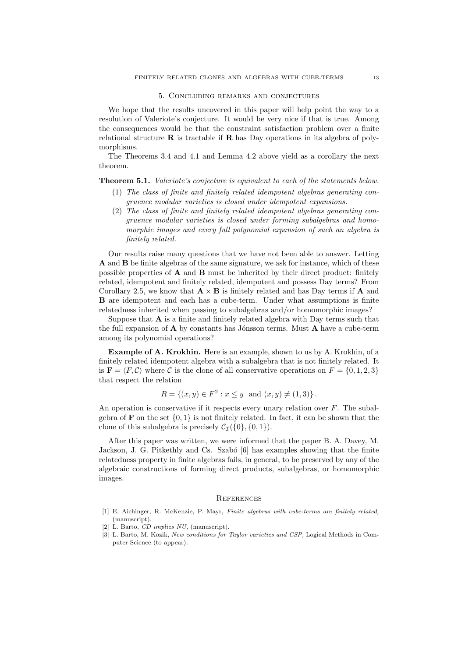#### 5. Concluding remarks and conjectures

We hope that the results uncovered in this paper will help point the way to a resolution of Valeriote's conjecture. It would be very nice if that is true. Among the consequences would be that the constraint satisfaction problem over a finite relational structure  $\bf{R}$  is tractable if  $\bf{R}$  has Day operations in its algebra of polymorphisms.

The Theorems 3.4 and 4.1 and Lemma 4.2 above yield as a corollary the next theorem.

Theorem 5.1. Valeriote's conjecture is equivalent to each of the statements below.

- (1) The class of finite and finitely related idempotent algebras generating congruence modular varieties is closed under idempotent expansions.
- (2) The class of finite and finitely related idempotent algebras generating congruence modular varieties is closed under forming subalgebras and homomorphic images and every full polynomial expansion of such an algebra is finitely related.

Our results raise many questions that we have not been able to answer. Letting A and B be finite algebras of the same signature, we ask for instance, which of these possible properties of  $A$  and  $B$  must be inherited by their direct product: finitely related, idempotent and finitely related, idempotent and possess Day terms? From Corollary 2.5, we know that  $\mathbf{A} \times \mathbf{B}$  is finitely related and has Day terms if  $\mathbf{A}$  and B are idempotent and each has a cube-term. Under what assumptions is finite relatedness inherited when passing to subalgebras and/or homomorphic images?

Suppose that  $A$  is a finite and finitely related algebra with Day terms such that the full expansion of  $A$  by constants has Jónsson terms. Must  $A$  have a cube-term among its polynomial operations?

Example of A. Krokhin. Here is an example, shown to us by A. Krokhin, of a finitely related idempotent algebra with a subalgebra that is not finitely related. It is  $\mathbf{F} = \langle F, C \rangle$  where C is the clone of all conservative operations on  $F = \{0, 1, 2, 3\}$ that respect the relation

$$
R = \{(x, y) \in F^2 : x \le y \text{ and } (x, y) \ne (1, 3)\}.
$$

An operation is conservative if it respects every unary relation over  $F$ . The subalgebra of **F** on the set  $\{0, 1\}$  is not finitely related. In fact, it can be shown that the clone of this subalgebra is precisely  $\mathcal{C}_{\mathcal{I}}(\{0\}, \{0, 1\}).$ 

After this paper was written, we were informed that the paper B. A. Davey, M. Jackson, J. G. Pitkethly and Cs. Szabó [6] has examples showing that the finite relatedness property in finite algebras fails, in general, to be preserved by any of the algebraic constructions of forming direct products, subalgebras, or homomorphic images.

#### **REFERENCES**

- [1] E. Aichinger, R. McKenzie, P. Mayr, Finite algebras with cube-terms are finitely related, (manuscript).
- [2] L. Barto, *CD implies NU*, (manuscript).
- [3] L. Barto, M. Kozik, New conditions for Taylor varieties and CSP, Logical Methods in Computer Science (to appear).